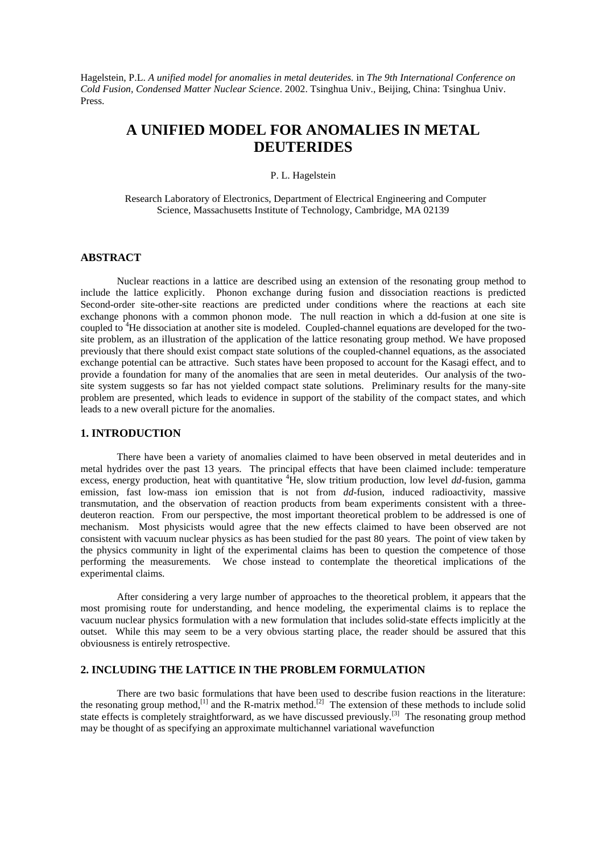Hagelstein, P.L. *A unified model for anomalies in metal deuterides.* in *The 9th International Conference on Cold Fusion, Condensed Matter Nuclear Science*. 2002. Tsinghua Univ., Beijing, China: Tsinghua Univ. Press.

# **A UNIFIED MODEL FOR ANOMALIES IN METAL DEUTERIDES**

#### P. L. Hagelstein

Research Laboratory of Electronics, Department of Electrical Engineering and Computer Science, Massachusetts Institute of Technology, Cambridge, MA 02139

#### **ABSTRACT**

Nuclear reactions in a lattice are described using an extension of the resonating group method to include the lattice explicitly. Phonon exchange during fusion and dissociation reactions is predicted Second-order site-other-site reactions are predicted under conditions where the reactions at each site exchange phonons with a common phonon mode. The null reaction in which a dd-fusion at one site is coupled to <sup>4</sup>He dissociation at another site is modeled. Coupled-channel equations are developed for the twosite problem, as an illustration of the application of the lattice resonating group method. We have proposed previously that there should exist compact state solutions of the coupled-channel equations, as the associated exchange potential can be attractive. Such states have been proposed to account for the Kasagi effect, and to provide a foundation for many of the anomalies that are seen in metal deuterides. Our analysis of the twosite system suggests so far has not yielded compact state solutions. Preliminary results for the many-site problem are presented, which leads to evidence in support of the stability of the compact states, and which leads to a new overall picture for the anomalies.

## **1. INTRODUCTION**

There have been a variety of anomalies claimed to have been observed in metal deuterides and in metal hydrides over the past 13 years. The principal effects that have been claimed include: temperature excess, energy production, heat with quantitative <sup>4</sup>He, slow tritium production, low level *dd*-fusion, gamma emission, fast low-mass ion emission that is not from *dd*-fusion, induced radioactivity, massive transmutation, and the observation of reaction products from beam experiments consistent with a threedeuteron reaction. From our perspective, the most important theoretical problem to be addressed is one of mechanism. Most physicists would agree that the new effects claimed to have been observed are not consistent with vacuum nuclear physics as has been studied for the past 80 years. The point of view taken by the physics community in light of the experimental claims has been to question the competence of those performing the measurements. We chose instead to contemplate the theoretical implications of the experimental claims.

After considering a very large number of approaches to the theoretical problem, it appears that the most promising route for understanding, and hence modeling, the experimental claims is to replace the vacuum nuclear physics formulation with a new formulation that includes solid-state effects implicitly at the outset. While this may seem to be a very obvious starting place, the reader should be assured that this obviousness is entirely retrospective.

# **2. INCLUDING THE LATTICE IN THE PROBLEM FORMULATION**

There are two basic formulations that have been used to describe fusion reactions in the literature: the resonating group method,<sup>[1]</sup> and the R-matrix method.<sup>[2]</sup> The extension of these methods to include solid state effects is completely straightforward, as we have discussed previously.<sup>[3]</sup> The resonating group method may be thought of as specifying an approximate multichannel variational wavefunction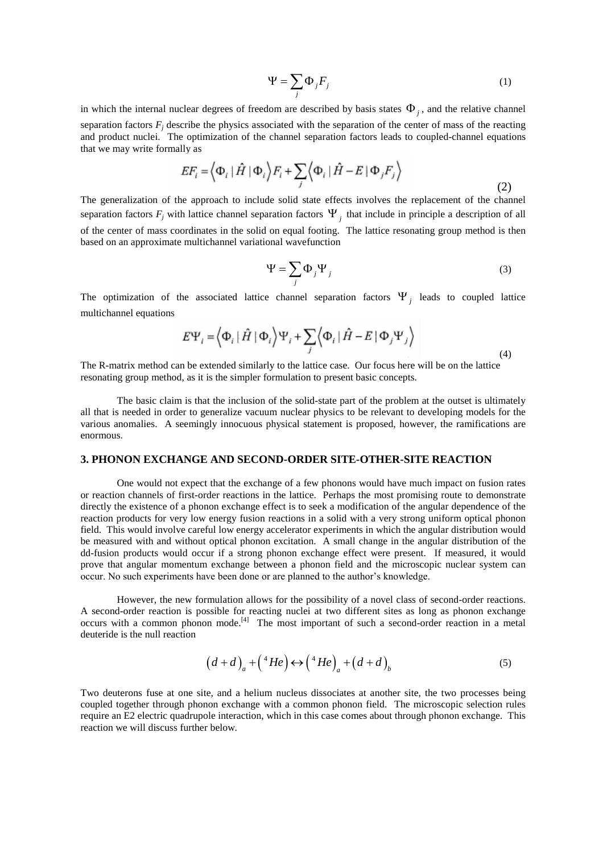$$
\Psi = \sum_{j} \Phi_{j} F_{j} \tag{1}
$$

in which the internal nuclear degrees of freedom are described by basis states  $\Phi_j$ , and the relative channel separation factors  $F_j$  describe the physics associated with the separation of the center of mass of the reacting and product nuclei. The optimization of the channel separation factors leads to coupled-channel equations that we may write formally as

$$
EF_i = \left\langle \Phi_i \mid \hat{H} \mid \Phi_i \right\rangle F_i + \sum_j \left\langle \Phi_i \mid \hat{H} - E \mid \Phi_j F_j \right\rangle \tag{2}
$$

The generalization of the approach to include solid state effects involves the replacement of the channel separation factors  $F_j$  with lattice channel separation factors  $\Psi_j$  that include in principle a description of all of the center of mass coordinates in the solid on equal footing. The lattice resonating group method is then based on an approximate multichannel variational wavefunction

$$
\Psi = \sum_{j} \Phi_{j} \Psi_{j}
$$
 (3)

The optimization of the associated lattice channel separation factors  $\Psi_j$  leads to coupled lattice multichannel equations

$$
E\Psi_i = \left\langle \Phi_i \left[ \hat{H} \right] \Phi_i \right\rangle \Psi_i + \sum_j \left\langle \Phi_i \left[ \hat{H} - E \right] \Phi_j \Psi_j \right\rangle
$$
\n(4)

The R-matrix method can be extended similarly to the lattice case. Our focus here will be on the lattice resonating group method, as it is the simpler formulation to present basic concepts.

The basic claim is that the inclusion of the solid-state part of the problem at the outset is ultimately all that is needed in order to generalize vacuum nuclear physics to be relevant to developing models for the various anomalies. A seemingly innocuous physical statement is proposed, however, the ramifications are enormous.

## **3. PHONON EXCHANGE AND SECOND-ORDER SITE-OTHER-SITE REACTION**

One would not expect that the exchange of a few phonons would have much impact on fusion rates or reaction channels of first-order reactions in the lattice. Perhaps the most promising route to demonstrate directly the existence of a phonon exchange effect is to seek a modification of the angular dependence of the reaction products for very low energy fusion reactions in a solid with a very strong uniform optical phonon field. This would involve careful low energy accelerator experiments in which the angular distribution would be measured with and without optical phonon excitation. A small change in the angular distribution of the dd-fusion products would occur if a strong phonon exchange effect were present. If measured, it would prove that angular momentum exchange between a phonon field and the microscopic nuclear system can occur. No such experiments have been done or are planned to the author's knowledge.

However, the new formulation allows for the possibility of a novel class of second-order reactions. A second-order reaction is possible for reacting nuclei at two different sites as long as phonon exchange occurs with a common phonon mode.<sup>[4]</sup> The most important of such a second-order reaction in a metal deuteride is the null reaction

$$
(d+d)_a + {^4He} \leftrightarrow {^4He}_a + (d+d)_b
$$
 (5)

Two deuterons fuse at one site, and a helium nucleus dissociates at another site, the two processes being coupled together through phonon exchange with a common phonon field. The microscopic selection rules require an E2 electric quadrupole interaction, which in this case comes about through phonon exchange. This reaction we will discuss further below.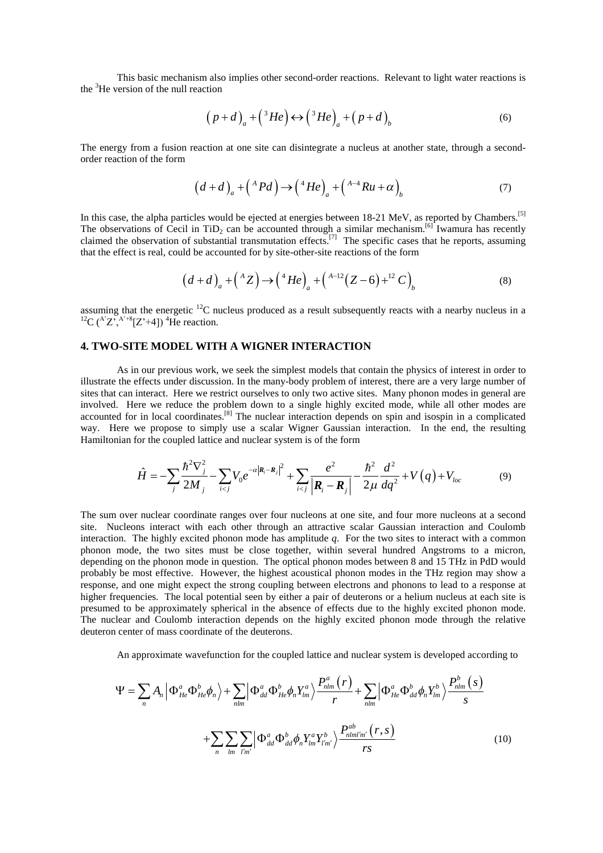This basic mechanism also implies other second-order reactions. Relevant to light water reactions is the  ${}^{3}$ He version of the null reaction

$$
(p+d)_a + {^{3}He} \leftrightarrow {^{3}He}_a + (p+d)_b
$$
 (6)

The energy from a fusion reaction at one site can disintegrate a nucleus at another state, through a secondorder reaction of the form

$$
(d+d)_a + {^A}Pd \rightarrow + {^4}He \quad _a + {^{A-4}}Ru + \alpha \quad _b \tag{7}
$$

In this case, the alpha particles would be ejected at energies between 18-21 MeV, as reported by Chambers.<sup>[5]</sup> The observations of Cecil in  $TiD_2$  can be accounted through a similar mechanism.<sup>[6]</sup> Iwamura has recently claimed the observation of substantial transmutation effects.<sup>[7]</sup> The specific cases that he reports, assuming that the effect is real, could be accounted for by site-other-site reactions of the form

$$
(d+d)_a + {^A Z} \rightarrow {^4 He}_a + {^{A-12} (Z-6)} + {^{12} C}_b
$$
 (8)

assuming that the energetic  ${}^{12}C$  nucleus produced as a result subsequently reacts with a nearby nucleus in a  ${}^{12}C$  (<sup>A'</sup>Z',<sup>A'+8</sup>[Z'+4])<sup>4</sup>He reaction.

#### **4. TWO-SITE MODEL WITH A WIGNER INTERACTION**

As in our previous work, we seek the simplest models that contain the physics of interest in order to illustrate the effects under discussion. In the many-body problem of interest, there are a very large number of sites that can interact. Here we restrict ourselves to only two active sites. Many phonon modes in general are involved. Here we reduce the problem down to a single highly excited mode, while all other modes are accounted for in local coordinates.<sup>[8]</sup> The nuclear interaction depends on spin and isospin in a complicated way. Here we propose to simply use a scalar Wigner Gaussian interaction. In the end, the resulting Hamiltonian for the coupled lattice and nuclear system is of the form

$$
\hat{H} = -\sum_{j} \frac{\hbar^2 \nabla_j^2}{2M_j} - \sum_{i < j} V_0 e^{-\alpha |\mathbf{R}_i - \mathbf{R}_j|^2} + \sum_{i < j} \frac{e^2}{|\mathbf{R}_i - \mathbf{R}_j|} - \frac{\hbar^2}{2\mu} \frac{d^2}{dq^2} + V(q) + V_{loc} \tag{9}
$$

The sum over nuclear coordinate ranges over four nucleons at one site, and four more nucleons at a second site. Nucleons interact with each other through an attractive scalar Gaussian interaction and Coulomb interaction. The highly excited phonon mode has amplitude *q*. For the two sites to interact with a common phonon mode, the two sites must be close together, within several hundred Angstroms to a micron, depending on the phonon mode in question. The optical phonon modes between 8 and 15 THz in PdD would probably be most effective. However, the highest acoustical phonon modes in the THz region may show a response, and one might expect the strong coupling between electrons and phonons to lead to a response at higher frequencies. The local potential seen by either a pair of deuterons or a helium nucleus at each site is presumed to be approximately spherical in the absence of effects due to the highly excited phonon mode. The nuclear and Coulomb interaction depends on the highly excited phonon mode through the relative deuteron center of mass coordinate of the deuterons.

An approximate wavefunction for the coupled lattice and nuclear system is developed according to

$$
\Psi = \sum_{n} A_{n} \left| \Phi_{He}^{a} \Phi_{He}^{b} \phi_{n} \right\rangle + \sum_{nlm} \left| \Phi_{dd}^{a} \Phi_{He}^{b} \phi_{n} Y_{lm}^{a} \right\rangle \frac{P_{nlm}^{a} (r)}{r} + \sum_{nlm} \left| \Phi_{He}^{a} \Phi_{dd}^{b} \phi_{n} Y_{lm}^{b} \right\rangle \frac{P_{nlm}^{b} (s)}{s}
$$

$$
+ \sum_{n} \sum_{lm} \sum_{lm} \left| \Phi_{dd}^{a} \Phi_{dd}^{b} \phi_{n} Y_{lm}^{a} Y_{lm}^{b} \right\rangle \frac{P_{nlmlm}^{ab} (r, s)}{rs}
$$
(10)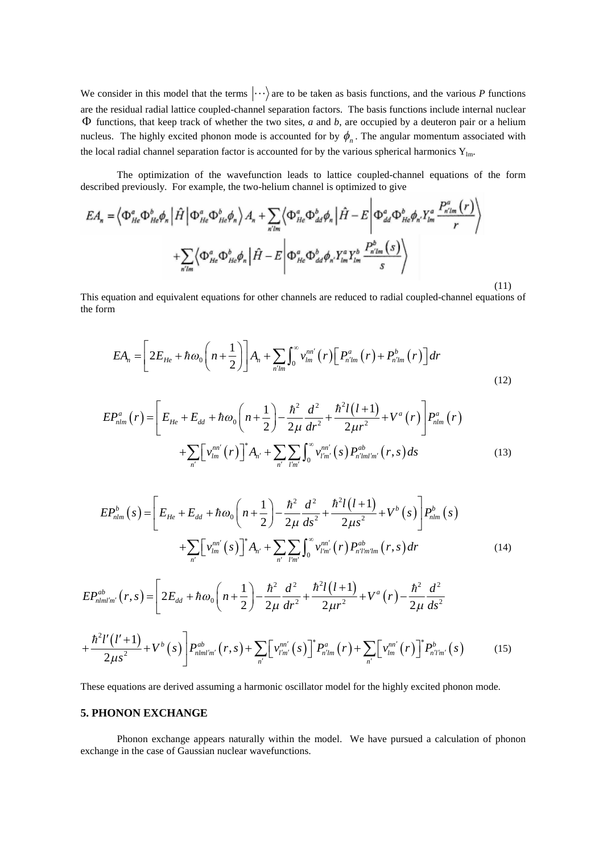We consider in this model that the terms  $\langle \cdots \rangle$  are to be taken as basis functions, and the various *P* functions are the residual radial lattice coupled-channel separation factors. The basis functions include internal nuclear  $\Phi$  functions, that keep track of whether the two sites, *a* and *b*, are occupied by a deuteron pair or a helium nucleus. The highly excited phonon mode is accounted for by  $\phi_n$ . The angular momentum associated with the local radial channel separation factor is accounted for by the various spherical harmonics  $Y_{lm}$ .

The optimization of the wavefunction leads to lattice coupled-channel equations of the form described previously. For example, the two-helium channel is optimized to give

 $\overline{1}$ 

$$
EA_n = \left\langle \Phi_{He}^a \Phi_{He}^b \phi_n \left| \hat{H} \right| \Phi_{He}^a \Phi_{He}^b \phi_n \right\rangle A_n + \sum_{n \text{lim}} \left\langle \Phi_{He}^a \Phi_{dd}^b \phi_n \left| \hat{H} - E \right| \Phi_{dd}^a \Phi_{He}^b \phi_n Y_{lm}^a \frac{P_{n \text{lim}}^a(r)}{r} \right\rangle
$$
  
+ 
$$
\sum_{n \text{lim}} \left\langle \Phi_{He}^a \Phi_{He}^b \phi_n \left| \hat{H} - E \right| \Phi_{He}^a \Phi_{dd}^b \phi_n Y_{lm}^a Y_{lm}^b \frac{P_{n \text{lim}}^b(s)}{s} \right\rangle
$$

This equation and equivalent equations for other channels are reduced to radial coupled-channel equations of the form

(11)

$$
EA_n = \left[2E_{He} + \hbar\omega_0\left(n + \frac{1}{2}\right)\right]A_n + \sum_{n'm} \int_0^\infty v_{lm}^{nn'}(r)\left[P_{n'm}^a(r) + P_{n'm}^b(r)\right]dr\tag{12}
$$

$$
EP_{nlm}^{a}(r) = \left[E_{He} + E_{dd} + \hbar \omega_{0} \left(n + \frac{1}{2}\right) - \frac{\hbar^{2}}{2\mu} \frac{d^{2}}{dr^{2}} + \frac{\hbar^{2}l(l+1)}{2\mu r^{2}} + V^{a}(r)\right]P_{nlm}^{a}(r)
$$
  
+
$$
\sum_{n'} \left[v_{lm}^{nn'}(r)\right]^{*} A_{n'} + \sum_{n'} \sum_{l'm'} \int_{0}^{\infty} v_{l'm'}^{nn'}(s) P_{n'lml'm'}^{ab}(r, s) ds
$$
(13)

$$
EP_{nlm}^{b}(s) = \left[E_{He} + E_{dd} + \hbar \omega_{0} \left(n + \frac{1}{2}\right) - \frac{\hbar^{2}}{2\mu} \frac{d^{2}}{ds^{2}} + \frac{\hbar^{2}l(l+1)}{2\mu s^{2}} + V^{b}(s)\right] P_{nlm}^{b}(s) + \sum_{n'} \left[v_{lm}^{nn'}(s)\right]^{*} A_{n'} + \sum_{n'} \sum_{l'm'} \int_{0}^{\infty} v_{l'm'}^{nn'}(r) P_{n'l'm'lm}^{ab}(r, s) dr \tag{14}
$$

$$
EP^{ab}_{nlm'm'}(r,s) = \left[2E_{dd} + \hbar \omega_0 \left(n + \frac{1}{2}\right) - \frac{\hbar^2}{2\mu} \frac{d^2}{dr^2} + \frac{\hbar^2 l(l+1)}{2\mu^2} + V^a(r) - \frac{\hbar^2}{2\mu} \frac{d^2}{ds^2}\right]
$$

$$
+\frac{\hbar^{2}l'(l'+1)}{2\mu s^{2}}+V^{b}(s)\bigg]P_{nlml'm'}^{ab}(r,s)+\sum_{n'}\big[ \nu_{l'm'}^{nn'}(s)\big]^{*}P_{n'lm}^{a}(r)+\sum_{n'}\big[ \nu_{lm}^{nn'}(r)\big]^{*}P_{n'l'm'}^{b}(s) \qquad (15)
$$

These equations are derived assuming a harmonic oscillator model for the highly excited phonon mode.

#### **5. PHONON EXCHANGE**

Phonon exchange appears naturally within the model. We have pursued a calculation of phonon exchange in the case of Gaussian nuclear wavefunctions.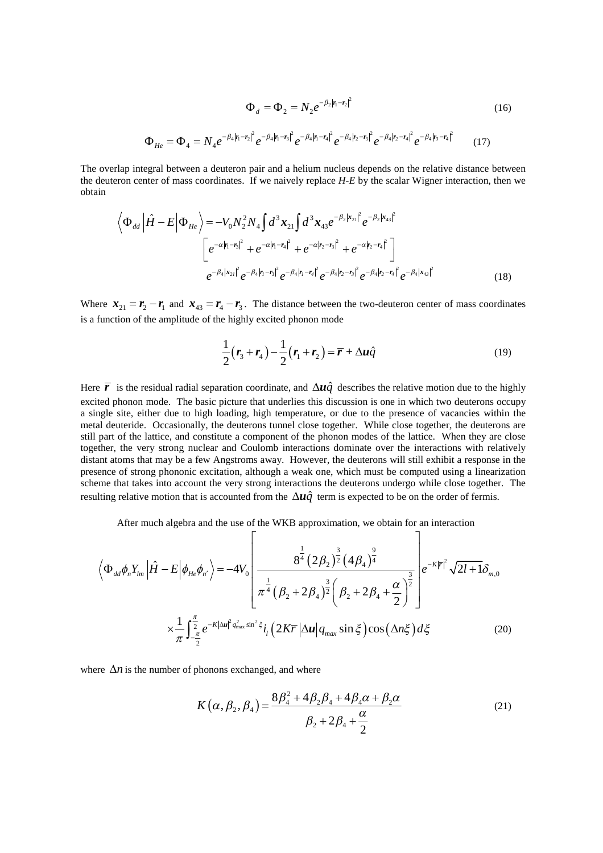$$
\Phi_d = \Phi_2 = N_2 e^{-\beta_2 |r_1 - r_2|^2}
$$
(16)  

$$
\Phi_{He} = \Phi_4 = N_4 e^{-\beta_4 |r_1 - r_2|^2} e^{-\beta_4 |r_1 - r_3|^2} e^{-\beta_4 |r_1 - r_4|^2} e^{-\beta_4 |r_2 - r_3|^2} e^{-\beta_4 |r_2 - r_4|^2} e^{-\beta_4 |r_3 - r_4|^2}
$$
(17)

The overlap integral between a deuteron pair and a helium nucleus depends on the relative distance between the deuteron center of mass coordinates. If we naively replace *H-E* by the scalar Wigner interaction, then we obtain

$$
\left\langle \Phi_{dd} \left| \hat{H} - E \right| \Phi_{He} \right\rangle = -V_0 N_2^2 N_4 \int d^3 x_{21} \int d^3 x_{43} e^{-\beta_2 |x_{21}|^2} e^{-\beta_2 |x_{43}|^2}
$$
  

$$
\left[ e^{-\alpha |r_1 - r_3|^2} + e^{-\alpha |r_1 - r_4|^2} + e^{-\alpha |r_2 - r_3|^2} + e^{-\alpha |r_2 - r_4|^2} \right]
$$
  

$$
e^{-\beta_4 |x_{21}|^2} e^{-\beta_4 |r_1 - r_3|^2} e^{-\beta_4 |r_1 - r_4|^2} e^{-\beta_4 |r_2 - r_3|^2} e^{-\beta_4 |r_2 - r_4|^2} e^{-\beta_4 |x_{43}|^2}
$$
(18)

Where  $\mathbf{x}_{21} = \mathbf{r}_2 - \mathbf{r}_1$  and  $\mathbf{x}_{43} = \mathbf{r}_4 - \mathbf{r}_3$ . The distance between the two-deuteron center of mass coordinates is a function of the amplitude of the highly excited phonon mode

$$
\frac{1}{2}(\mathbf{r}_3 + \mathbf{r}_4) - \frac{1}{2}(\mathbf{r}_1 + \mathbf{r}_2) = \overline{\mathbf{r}} + \Delta u \hat{q}
$$
\n(19)

Here  $\vec{r}$  is the residual radial separation coordinate, and  $\Delta u \hat{q}$  describes the relative motion due to the highly excited phonon mode. The basic picture that underlies this discussion is one in which two deuterons occupy a single site, either due to high loading, high temperature, or due to the presence of vacancies within the metal deuteride. Occasionally, the deuterons tunnel close together. While close together, the deuterons are still part of the lattice, and constitute a component of the phonon modes of the lattice. When they are close together, the very strong nuclear and Coulomb interactions dominate over the interactions with relatively distant atoms that may be a few Angstroms away. However, the deuterons will still exhibit a response in the presence of strong phononic excitation, although a weak one, which must be computed using a linearization scheme that takes into account the very strong interactions the deuterons undergo while close together. The resulting relative motion that is accounted from the  $\Delta u \hat{q}$  term is expected to be on the order of fermis.

After much algebra and the use of the WKB approximation, we obtain for an interaction

$$
\left\langle \Phi_{dd}\phi_{n}Y_{lm} \left| \hat{H} - E \right| \phi_{He}\phi_{n'} \right\rangle = -4V_{0} \left[ \frac{8^{\frac{1}{4}} (2\beta_{2})^{\frac{3}{2}} (4\beta_{4})^{\frac{9}{4}}}{\pi^{\frac{1}{4}} (\beta_{2} + 2\beta_{4})^{\frac{3}{2}} (\beta_{2} + 2\beta_{4} + \frac{\alpha}{2})^{\frac{3}{2}}} \right] e^{-K|\vec{r}|^{2}} \sqrt{2l+1} \delta_{m,0}
$$
  

$$
\times \frac{1}{\pi} \int_{-\frac{\pi}{2}}^{\frac{\pi}{2}} e^{-K|\Delta u|^{2} q_{\text{max}}^{2} \sin^{2} \xi} i_{l} (2K\vec{r} |\Delta u| q_{\text{max}} \sin \xi) \cos (\Delta n \xi) d\xi
$$
(20)

where  $\Delta n$  is the number of phonons exchanged, and where

$$
K(\alpha, \beta_2, \beta_4) = \frac{8\beta_4^2 + 4\beta_2\beta_4 + 4\beta_4\alpha + \beta_2\alpha}{\beta_2 + 2\beta_4 + \frac{\alpha}{2}}
$$
(21)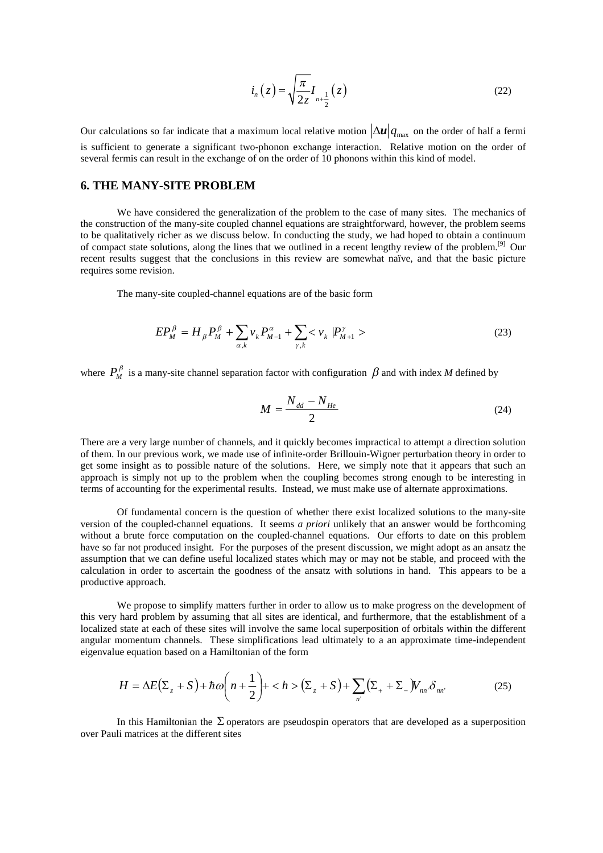$$
i_n(z) = \sqrt{\frac{\pi}{2z}} I_{n + \frac{1}{2}}(z)
$$
 (22)

Our calculations so far indicate that a maximum local relative motion  $|\Delta u|q_{\text{max}}$  on the order of half a fermi is sufficient to generate a significant two-phonon exchange interaction. Relative motion on the order of several fermis can result in the exchange of on the order of 10 phonons within this kind of model.

# **6. THE MANY-SITE PROBLEM**

We have considered the generalization of the problem to the case of many sites. The mechanics of the construction of the many-site coupled channel equations are straightforward, however, the problem seems to be qualitatively richer as we discuss below. In conducting the study, we had hoped to obtain a continuum of compact state solutions, along the lines that we outlined in a recent lengthy review of the problem.<sup>[9]</sup> Our recent results suggest that the conclusions in this review are somewhat naïve, and that the basic picture requires some revision.

The many-site coupled-channel equations are of the basic form

$$
EP_M^{\beta} = H_{\beta} P_M^{\beta} + \sum_{\alpha,k} v_k P_{M-1}^{\alpha} + \sum_{\gamma,k} < v_k |P_{M+1}^{\gamma} >
$$
 (23)

where  $P_M^{\beta}$  is a many-site channel separation factor with configuration  $\beta$  and with index *M* defined by

$$
M = \frac{N_{dd} - N_{He}}{2} \tag{24}
$$

There are a very large number of channels, and it quickly becomes impractical to attempt a direction solution of them. In our previous work, we made use of infinite-order Brillouin-Wigner perturbation theory in order to get some insight as to possible nature of the solutions. Here, we simply note that it appears that such an approach is simply not up to the problem when the coupling becomes strong enough to be interesting in terms of accounting for the experimental results. Instead, we must make use of alternate approximations.

Of fundamental concern is the question of whether there exist localized solutions to the many-site version of the coupled-channel equations. It seems *a priori* unlikely that an answer would be forthcoming without a brute force computation on the coupled-channel equations. Our efforts to date on this problem have so far not produced insight. For the purposes of the present discussion, we might adopt as an ansatz the assumption that we can define useful localized states which may or may not be stable, and proceed with the calculation in order to ascertain the goodness of the ansatz with solutions in hand. This appears to be a productive approach.

We propose to simplify matters further in order to allow us to make progress on the development of this very hard problem by assuming that all sites are identical, and furthermore, that the establishment of a localized state at each of these sites will involve the same local superposition of orbitals within the different angular momentum channels. These simplifications lead ultimately to a an approximate time-independent eigenvalue equation based on a Hamiltonian of the form

$$
H = \Delta E(\Sigma_z + S) + \hbar \omega \left( n + \frac{1}{2} \right) + \langle h \rangle \left( \Sigma_z + S \right) + \sum_{n'} \left( \Sigma_+ + \Sigma_- \right) V_{nn'} \delta_{nn'} \tag{25}
$$

In this Hamiltonian the  $\Sigma$  operators are pseudospin operators that are developed as a superposition over Pauli matrices at the different sites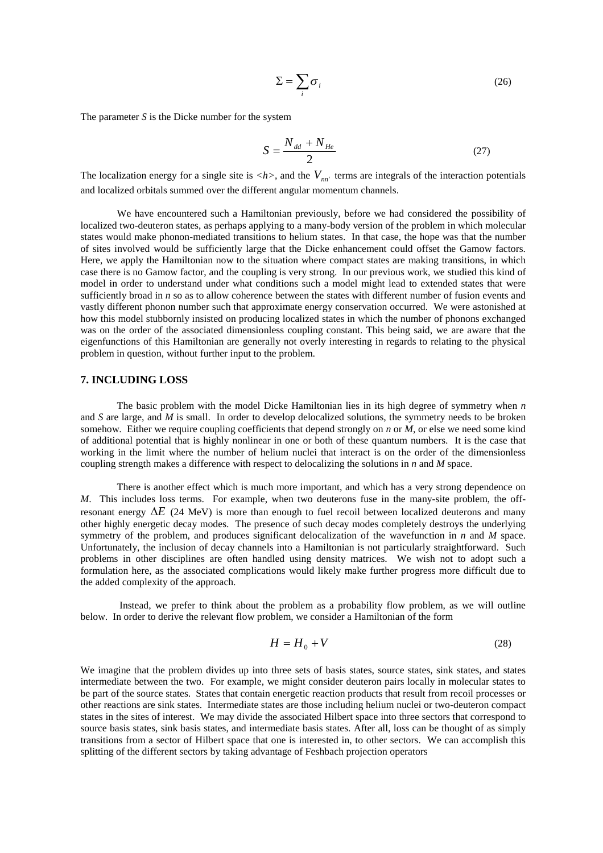$$
\Sigma = \sum_{i} \sigma_{i} \tag{26}
$$

The parameter *S* is the Dicke number for the system

$$
S = \frac{N_{dd} + N_{He}}{2} \tag{27}
$$

The localization energy for a single site is  $\langle h \rangle$ , and the  $V_{nn'}$  terms are integrals of the interaction potentials and localized orbitals summed over the different angular momentum channels.

We have encountered such a Hamiltonian previously, before we had considered the possibility of localized two-deuteron states, as perhaps applying to a many-body version of the problem in which molecular states would make phonon-mediated transitions to helium states. In that case, the hope was that the number of sites involved would be sufficiently large that the Dicke enhancement could offset the Gamow factors. Here, we apply the Hamiltonian now to the situation where compact states are making transitions, in which case there is no Gamow factor, and the coupling is very strong. In our previous work, we studied this kind of model in order to understand under what conditions such a model might lead to extended states that were sufficiently broad in *n* so as to allow coherence between the states with different number of fusion events and vastly different phonon number such that approximate energy conservation occurred. We were astonished at how this model stubbornly insisted on producing localized states in which the number of phonons exchanged was on the order of the associated dimensionless coupling constant. This being said, we are aware that the eigenfunctions of this Hamiltonian are generally not overly interesting in regards to relating to the physical problem in question, without further input to the problem.

## **7. INCLUDING LOSS**

The basic problem with the model Dicke Hamiltonian lies in its high degree of symmetry when *n* and *S* are large, and *M* is small. In order to develop delocalized solutions, the symmetry needs to be broken somehow. Either we require coupling coefficients that depend strongly on *n* or *M*, or else we need some kind of additional potential that is highly nonlinear in one or both of these quantum numbers. It is the case that working in the limit where the number of helium nuclei that interact is on the order of the dimensionless coupling strength makes a difference with respect to delocalizing the solutions in *n* and *M* space.

There is another effect which is much more important, and which has a very strong dependence on *M*. This includes loss terms. For example, when two deuterons fuse in the many-site problem, the offresonant energy  $\Delta E$  (24 MeV) is more than enough to fuel recoil between localized deuterons and many other highly energetic decay modes. The presence of such decay modes completely destroys the underlying symmetry of the problem, and produces significant delocalization of the wavefunction in *n* and *M* space. Unfortunately, the inclusion of decay channels into a Hamiltonian is not particularly straightforward. Such problems in other disciplines are often handled using density matrices. We wish not to adopt such a formulation here, as the associated complications would likely make further progress more difficult due to the added complexity of the approach.

Instead, we prefer to think about the problem as a probability flow problem, as we will outline below. In order to derive the relevant flow problem, we consider a Hamiltonian of the form

$$
H = H_0 + V \tag{28}
$$

We imagine that the problem divides up into three sets of basis states, source states, sink states, and states intermediate between the two. For example, we might consider deuteron pairs locally in molecular states to be part of the source states. States that contain energetic reaction products that result from recoil processes or other reactions are sink states. Intermediate states are those including helium nuclei or two-deuteron compact states in the sites of interest. We may divide the associated Hilbert space into three sectors that correspond to source basis states, sink basis states, and intermediate basis states. After all, loss can be thought of as simply transitions from a sector of Hilbert space that one is interested in, to other sectors. We can accomplish this splitting of the different sectors by taking advantage of Feshbach projection operators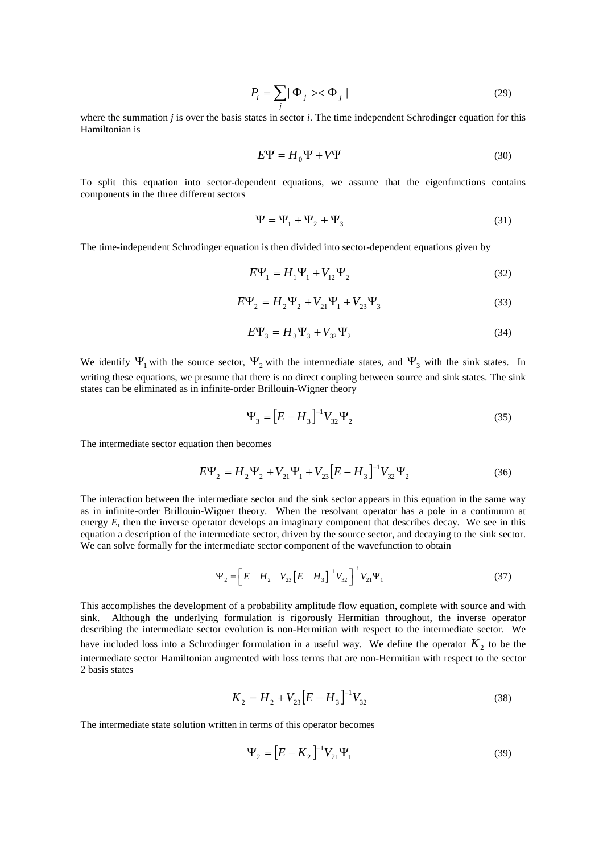$$
P_i = \sum_j |\Phi_j\rangle \langle \Phi_j| \tag{29}
$$

where the summation *j* is over the basis states in sector *i*. The time independent Schrodinger equation for this Hamiltonian is

$$
E\Psi = H_0 \Psi + V\Psi \tag{30}
$$

To split this equation into sector-dependent equations, we assume that the eigenfunctions contains components in the three different sectors

$$
\Psi = \Psi_1 + \Psi_2 + \Psi_3 \tag{31}
$$

The time-independent Schrodinger equation is then divided into sector-dependent equations given by

$$
E\Psi_1 = H_1\Psi_1 + V_{12}\Psi_2
$$
 (32)

$$
E\Psi_2 = H_2\Psi_2 + V_{21}\Psi_1 + V_{23}\Psi_3
$$
\n(33)

$$
E\Psi_3 = H_3 \Psi_3 + V_{32} \Psi_2 \tag{34}
$$

We identify  $\Psi_1$  with the source sector,  $\Psi_2$  with the intermediate states, and  $\Psi_3$  with the sink states. In writing these equations, we presume that there is no direct coupling between source and sink states. The sink states can be eliminated as in infinite-order Brillouin-Wigner theory

$$
\Psi_3 = [E - H_3]^{-1} V_{32} \Psi_2 \tag{35}
$$

The intermediate sector equation then becomes

$$
E\Psi_2 = H_2\Psi_2 + V_{21}\Psi_1 + V_{23}\left[E - H_3\right]^{-1}V_{32}\Psi_2
$$
\n(36)

The interaction between the intermediate sector and the sink sector appears in this equation in the same way as in infinite-order Brillouin-Wigner theory. When the resolvant operator has a pole in a continuum at energy *E*, then the inverse operator develops an imaginary component that describes decay. We see in this equation a description of the intermediate sector, driven by the source sector, and decaying to the sink sector. We can solve formally for the intermediate sector component of the wavefunction to obtain

$$
\Psi_2 = \left[ E - H_2 - V_{23} \left[ E - H_3 \right]^{-1} V_{32} \right]^{-1} V_{21} \Psi_1 \tag{37}
$$

This accomplishes the development of a probability amplitude flow equation, complete with source and with sink. Although the underlying formulation is rigorously Hermitian throughout, the inverse operator describing the intermediate sector evolution is non-Hermitian with respect to the intermediate sector. We have included loss into a Schrodinger formulation in a useful way. We define the operator  $K_2$  to be the intermediate sector Hamiltonian augmented with loss terms that are non-Hermitian with respect to the sector 2 basis states

$$
K_2 = H_2 + V_{23} \left[ E - H_3 \right]^{-1} V_{32} \tag{38}
$$

The intermediate state solution written in terms of this operator becomes

$$
\Psi_2 = [E - K_2]^{-1} V_{21} \Psi_1 \tag{39}
$$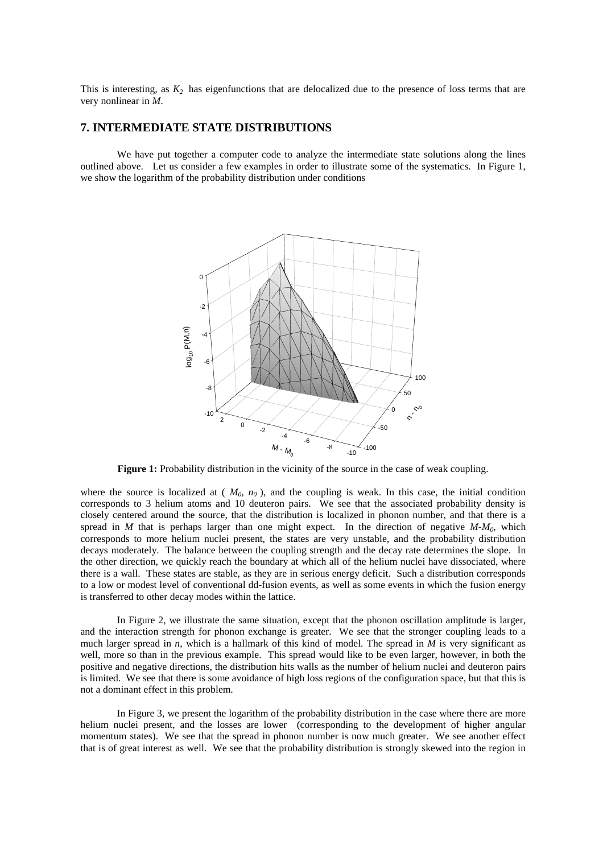This is interesting, as  $K_2$  has eigenfunctions that are delocalized due to the presence of loss terms that are very nonlinear in *M*.

## **7. INTERMEDIATE STATE DISTRIBUTIONS**

We have put together a computer code to analyze the intermediate state solutions along the lines outlined above. Let us consider a few examples in order to illustrate some of the systematics. In Figure 1, we show the logarithm of the probability distribution under conditions



**Figure 1:** Probability distribution in the vicinity of the source in the case of weak coupling.

where the source is localized at ( $M_0$ ,  $n_0$ ), and the coupling is weak. In this case, the initial condition corresponds to 3 helium atoms and 10 deuteron pairs. We see that the associated probability density is closely centered around the source, that the distribution is localized in phonon number, and that there is a spread in *M* that is perhaps larger than one might expect. In the direction of negative  $M-M_0$ , which corresponds to more helium nuclei present, the states are very unstable, and the probability distribution decays moderately. The balance between the coupling strength and the decay rate determines the slope. In the other direction, we quickly reach the boundary at which all of the helium nuclei have dissociated, where there is a wall. These states are stable, as they are in serious energy deficit. Such a distribution corresponds to a low or modest level of conventional dd-fusion events, as well as some events in which the fusion energy is transferred to other decay modes within the lattice.

In Figure 2, we illustrate the same situation, except that the phonon oscillation amplitude is larger, and the interaction strength for phonon exchange is greater. We see that the stronger coupling leads to a much larger spread in *n*, which is a hallmark of this kind of model. The spread in *M* is very significant as well, more so than in the previous example. This spread would like to be even larger, however, in both the positive and negative directions, the distribution hits walls as the number of helium nuclei and deuteron pairs is limited. We see that there is some avoidance of high loss regions of the configuration space, but that this is not a dominant effect in this problem.

In Figure 3, we present the logarithm of the probability distribution in the case where there are more helium nuclei present, and the losses are lower (corresponding to the development of higher angular momentum states). We see that the spread in phonon number is now much greater. We see another effect that is of great interest as well. We see that the probability distribution is strongly skewed into the region in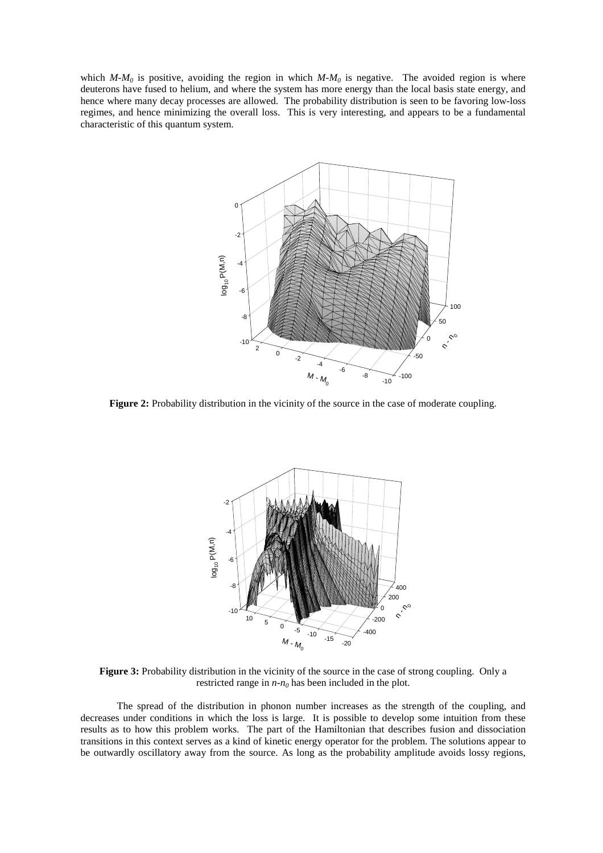which  $M-M_0$  is positive, avoiding the region in which  $M-M_0$  is negative. The avoided region is where deuterons have fused to helium, and where the system has more energy than the local basis state energy, and hence where many decay processes are allowed. The probability distribution is seen to be favoring low-loss regimes, and hence minimizing the overall loss. This is very interesting, and appears to be a fundamental characteristic of this quantum system.



**Figure 2:** Probability distribution in the vicinity of the source in the case of moderate coupling.



**Figure 3:** Probability distribution in the vicinity of the source in the case of strong coupling. Only a restricted range in *n-n<sup>0</sup>* has been included in the plot.

The spread of the distribution in phonon number increases as the strength of the coupling, and decreases under conditions in which the loss is large. It is possible to develop some intuition from these results as to how this problem works. The part of the Hamiltonian that describes fusion and dissociation transitions in this context serves as a kind of kinetic energy operator for the problem. The solutions appear to be outwardly oscillatory away from the source. As long as the probability amplitude avoids lossy regions,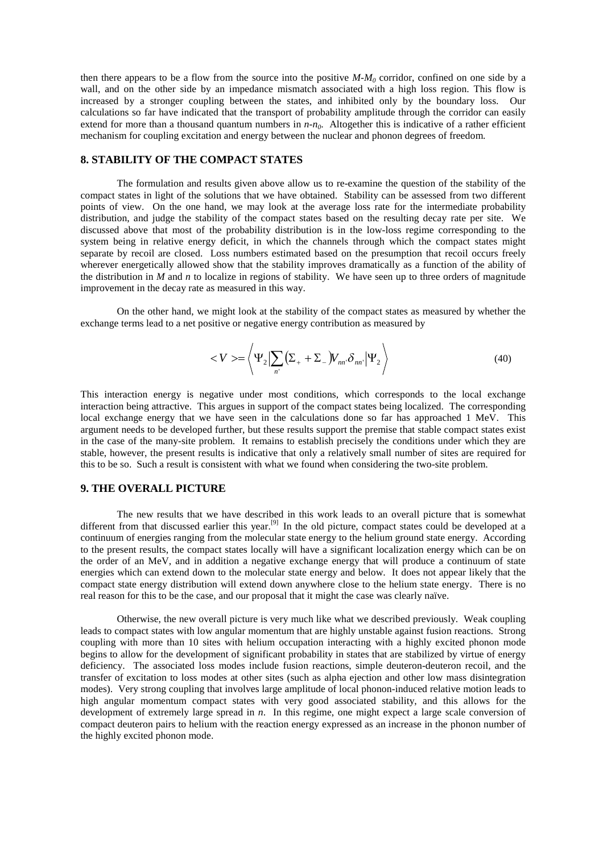then there appears to be a flow from the source into the positive *M-M<sup>0</sup>* corridor, confined on one side by a wall, and on the other side by an impedance mismatch associated with a high loss region. This flow is increased by a stronger coupling between the states, and inhibited only by the boundary loss. Our calculations so far have indicated that the transport of probability amplitude through the corridor can easily extend for more than a thousand quantum numbers in *n-n0*. Altogether this is indicative of a rather efficient mechanism for coupling excitation and energy between the nuclear and phonon degrees of freedom.

## **8. STABILITY OF THE COMPACT STATES**

The formulation and results given above allow us to re-examine the question of the stability of the compact states in light of the solutions that we have obtained. Stability can be assessed from two different points of view. On the one hand, we may look at the average loss rate for the intermediate probability distribution, and judge the stability of the compact states based on the resulting decay rate per site. We discussed above that most of the probability distribution is in the low-loss regime corresponding to the system being in relative energy deficit, in which the channels through which the compact states might separate by recoil are closed. Loss numbers estimated based on the presumption that recoil occurs freely wherever energetically allowed show that the stability improves dramatically as a function of the ability of the distribution in *M* and *n* to localize in regions of stability. We have seen up to three orders of magnitude improvement in the decay rate as measured in this way.

On the other hand, we might look at the stability of the compact states as measured by whether the exchange terms lead to a net positive or negative energy contribution as measured by

$$
\langle V \rangle = \left\langle \Psi_2 \Big| \sum_{n'} \left( \Sigma_+ + \Sigma_- \Big) V_{nn'} \delta_{nn'} \Big| \Psi_2 \right\rangle \right\} \tag{40}
$$

This interaction energy is negative under most conditions, which corresponds to the local exchange interaction being attractive. This argues in support of the compact states being localized. The corresponding local exchange energy that we have seen in the calculations done so far has approached 1 MeV. This argument needs to be developed further, but these results support the premise that stable compact states exist in the case of the many-site problem. It remains to establish precisely the conditions under which they are stable, however, the present results is indicative that only a relatively small number of sites are required for this to be so. Such a result is consistent with what we found when considering the two-site problem.

#### **9. THE OVERALL PICTURE**

The new results that we have described in this work leads to an overall picture that is somewhat different from that discussed earlier this year.<sup>[9]</sup> In the old picture, compact states could be developed at a continuum of energies ranging from the molecular state energy to the helium ground state energy. According to the present results, the compact states locally will have a significant localization energy which can be on the order of an MeV, and in addition a negative exchange energy that will produce a continuum of state energies which can extend down to the molecular state energy and below. It does not appear likely that the compact state energy distribution will extend down anywhere close to the helium state energy. There is no real reason for this to be the case, and our proposal that it might the case was clearly naïve.

Otherwise, the new overall picture is very much like what we described previously. Weak coupling leads to compact states with low angular momentum that are highly unstable against fusion reactions. Strong coupling with more than 10 sites with helium occupation interacting with a highly excited phonon mode begins to allow for the development of significant probability in states that are stabilized by virtue of energy deficiency. The associated loss modes include fusion reactions, simple deuteron-deuteron recoil, and the transfer of excitation to loss modes at other sites (such as alpha ejection and other low mass disintegration modes). Very strong coupling that involves large amplitude of local phonon-induced relative motion leads to high angular momentum compact states with very good associated stability, and this allows for the development of extremely large spread in *n*. In this regime, one might expect a large scale conversion of compact deuteron pairs to helium with the reaction energy expressed as an increase in the phonon number of the highly excited phonon mode.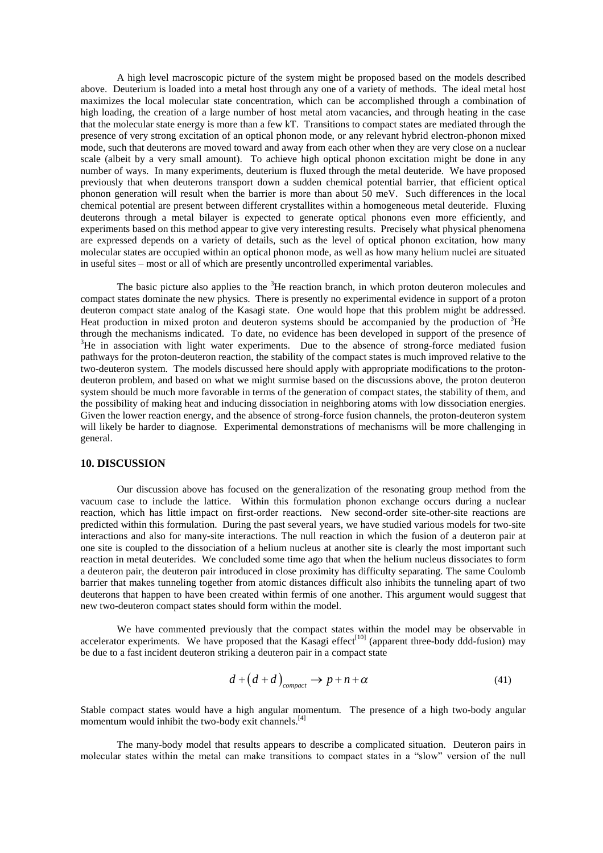A high level macroscopic picture of the system might be proposed based on the models described above. Deuterium is loaded into a metal host through any one of a variety of methods. The ideal metal host maximizes the local molecular state concentration, which can be accomplished through a combination of high loading, the creation of a large number of host metal atom vacancies, and through heating in the case that the molecular state energy is more than a few kT. Transitions to compact states are mediated through the presence of very strong excitation of an optical phonon mode, or any relevant hybrid electron-phonon mixed mode, such that deuterons are moved toward and away from each other when they are very close on a nuclear scale (albeit by a very small amount). To achieve high optical phonon excitation might be done in any number of ways. In many experiments, deuterium is fluxed through the metal deuteride. We have proposed previously that when deuterons transport down a sudden chemical potential barrier, that efficient optical phonon generation will result when the barrier is more than about 50 meV. Such differences in the local chemical potential are present between different crystallites within a homogeneous metal deuteride. Fluxing deuterons through a metal bilayer is expected to generate optical phonons even more efficiently, and experiments based on this method appear to give very interesting results. Precisely what physical phenomena are expressed depends on a variety of details, such as the level of optical phonon excitation, how many molecular states are occupied within an optical phonon mode, as well as how many helium nuclei are situated in useful sites –most or all of which are presently uncontrolled experimental variables.

The basic picture also applies to the <sup>3</sup>He reaction branch, in which proton deuteron molecules and compact states dominate the new physics. There is presently no experimental evidence in support of a proton deuteron compact state analog of the Kasagi state. One would hope that this problem might be addressed. Heat production in mixed proton and deuteron systems should be accompanied by the production of  ${}^{3}$ He through the mechanisms indicated. To date, no evidence has been developed in support of the presence of  $3$ He in association with light water experiments. Due to the absence of strong-force mediated fusion pathways for the proton-deuteron reaction, the stability of the compact states is much improved relative to the two-deuteron system. The models discussed here should apply with appropriate modifications to the protondeuteron problem, and based on what we might surmise based on the discussions above, the proton deuteron system should be much more favorable in terms of the generation of compact states, the stability of them, and the possibility of making heat and inducing dissociation in neighboring atoms with low dissociation energies. Given the lower reaction energy, and the absence of strong-force fusion channels, the proton-deuteron system will likely be harder to diagnose. Experimental demonstrations of mechanisms will be more challenging in general.

#### **10. DISCUSSION**

Our discussion above has focused on the generalization of the resonating group method from the vacuum case to include the lattice. Within this formulation phonon exchange occurs during a nuclear reaction, which has little impact on first-order reactions. New second-order site-other-site reactions are predicted within this formulation. During the past several years, we have studied various models for two-site interactions and also for many-site interactions. The null reaction in which the fusion of a deuteron pair at one site is coupled to the dissociation of a helium nucleus at another site is clearly the most important such reaction in metal deuterides. We concluded some time ago that when the helium nucleus dissociates to form a deuteron pair, the deuteron pair introduced in close proximity has difficulty separating. The same Coulomb barrier that makes tunneling together from atomic distances difficult also inhibits the tunneling apart of two deuterons that happen to have been created within fermis of one another. This argument would suggest that new two-deuteron compact states should form within the model.

We have commented previously that the compact states within the model may be observable in accelerator experiments. We have proposed that the Kasagi effect<sup>[10]</sup> (apparent three-body ddd-fusion) may be due to a fast incident deuteron striking a deuteron pair in a compact state

$$
d + (d + d)_{\text{compact}} \to p + n + \alpha \tag{41}
$$

Stable compact states would have a high angular momentum. The presence of a high two-body angular momentum would inhibit the two-body exit channels.<sup>[4]</sup>

The many-body model that results appears to describe a complicated situation. Deuteron pairs in molecular states within the metal can make transitions to compact states in a "slow" version of the null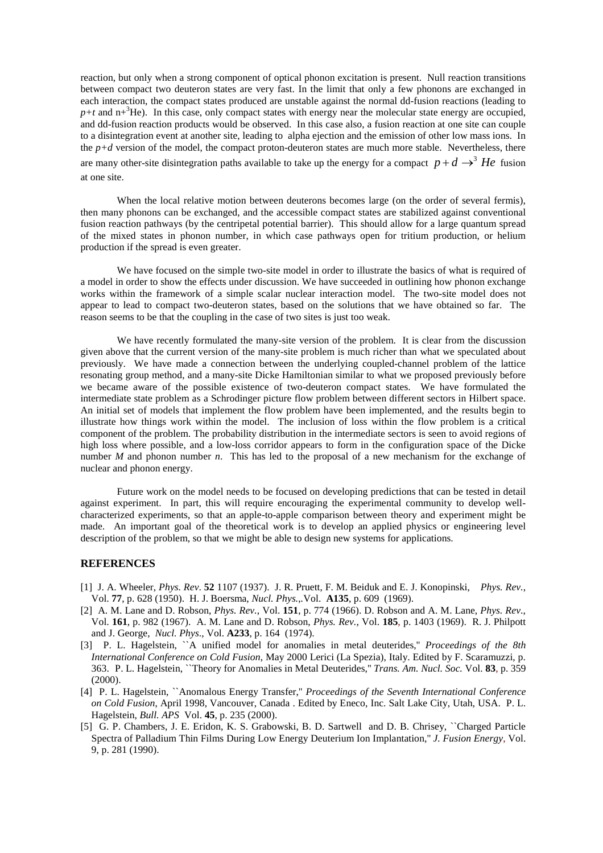reaction, but only when a strong component of optical phonon excitation is present. Null reaction transitions between compact two deuteron states are very fast. In the limit that only a few phonons are exchanged in each interaction, the compact states produced are unstable against the normal dd-fusion reactions (leading to  $p+t$  and  $n+\delta$ He). In this case, only compact states with energy near the molecular state energy are occupied, and dd-fusion reaction products would be observed. In this case also, a fusion reaction at one site can couple to a disintegration event at another site, leading to alpha ejection and the emission of other low mass ions. In the  $p+d$  version of the model, the compact proton-deuteron states are much more stable. Nevertheless, there

are many other-site disintegration paths available to take up the energy for a compact  $p + d \rightarrow^3 He$  fusion at one site.

When the local relative motion between deuterons becomes large (on the order of several fermis), then many phonons can be exchanged, and the accessible compact states are stabilized against conventional fusion reaction pathways (by the centripetal potential barrier). This should allow for a large quantum spread of the mixed states in phonon number, in which case pathways open for tritium production, or helium production if the spread is even greater.

We have focused on the simple two-site model in order to illustrate the basics of what is required of a model in order to show the effects under discussion. We have succeeded in outlining how phonon exchange works within the framework of a simple scalar nuclear interaction model. The two-site model does not appear to lead to compact two-deuteron states, based on the solutions that we have obtained so far. The reason seems to be that the coupling in the case of two sites is just too weak.

We have recently formulated the many-site version of the problem. It is clear from the discussion given above that the current version of the many-site problem is much richer than what we speculated about previously. We have made a connection between the underlying coupled-channel problem of the lattice resonating group method, and a many-site Dicke Hamiltonian similar to what we proposed previously before we became aware of the possible existence of two-deuteron compact states. We have formulated the intermediate state problem as a Schrodinger picture flow problem between different sectors in Hilbert space. An initial set of models that implement the flow problem have been implemented, and the results begin to illustrate how things work within the model. The inclusion of loss within the flow problem is a critical component of the problem. The probability distribution in the intermediate sectors is seen to avoid regions of high loss where possible, and a low-loss corridor appears to form in the configuration space of the Dicke number *M* and phonon number *n*. This has led to the proposal of a new mechanism for the exchange of nuclear and phonon energy.

Future work on the model needs to be focused on developing predictions that can be tested in detail against experiment. In part, this will require encouraging the experimental community to develop wellcharacterized experiments, so that an apple-to-apple comparison between theory and experiment might be made. An important goal of the theoretical work is to develop an applied physics or engineering level description of the problem, so that we might be able to design new systems for applications.

#### **REFERENCES**

- [1] J. A. Wheeler, *Phys. Rev*. **52** 1107 (1937). J. R. Pruett, F. M. Beiduk and E. J. Konopinski, *Phys. Rev.*, Vol. **77**, p. 628 (1950). H. J. Boersma, *Nucl. Phys.*,*.*Vol. **A135**, p. 609 (1969).
- [2] A. M. Lane and D. Robson, *Phys. Rev.*, Vol. **151**, p. 774 (1966). D. Robson and A. M. Lane, *Phys. Rev*., Vol. **161**, p. 982 (1967). A. M. Lane and D. Robson, *Phys. Rev.*, Vol. **185**, p. 1403 (1969). R. J. Philpott and J. George, *Nucl. Phys*., Vol. **A233**, p. 164 (1974).
- [3] P. L. Hagelstein, ``A unified model for anomalies in metal deuterides,'' *Proceedings of the 8th International Conference on Cold Fusion*, May 2000 Lerici (La Spezia), Italy. Edited by F. Scaramuzzi, p. 363. P. L. Hagelstein, ``Theory for Anomalies in Metal Deuterides,'' *Trans. Am. Nucl. Soc.* Vol. **83**, p. 359 (2000).
- [4] P. L. Hagelstein, ``Anomalous Energy Transfer,'' *Proceedings of the Seventh International Conference on Cold Fusion*, April 1998, Vancouver, Canada . Edited by Eneco, Inc. Salt Lake City, Utah, USA. P. L. Hagelstein, *Bull. APS* Vol. **45**, p. 235 (2000).
- [5] G. P. Chambers, J. E. Eridon, K. S. Grabowski, B. D. Sartwell and D. B. Chrisey, ``Charged Particle Spectra of Palladium Thin Films During Low Energy Deuterium Ion Implantation,'' *J. Fusion Energy*, Vol. 9, p. 281 (1990).